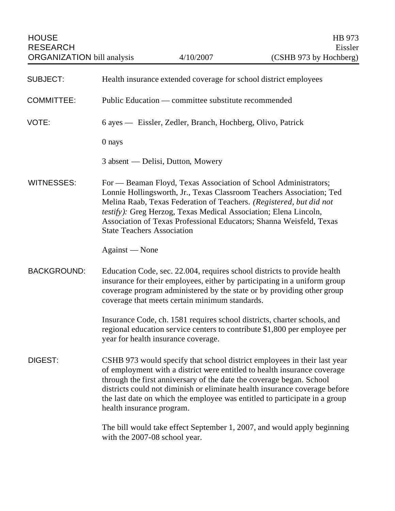HOUSE HB 973 RESEARCH Eissler

| <b>SUBJECT:</b>    | Health insurance extended coverage for school district employees                                                                                                                                                                                                                                                                                                                                                      |
|--------------------|-----------------------------------------------------------------------------------------------------------------------------------------------------------------------------------------------------------------------------------------------------------------------------------------------------------------------------------------------------------------------------------------------------------------------|
| <b>COMMITTEE:</b>  | Public Education — committee substitute recommended                                                                                                                                                                                                                                                                                                                                                                   |
| VOTE:              | 6 ayes — Eissler, Zedler, Branch, Hochberg, Olivo, Patrick                                                                                                                                                                                                                                                                                                                                                            |
|                    | 0 nays                                                                                                                                                                                                                                                                                                                                                                                                                |
|                    | 3 absent — Delisi, Dutton, Mowery                                                                                                                                                                                                                                                                                                                                                                                     |
| <b>WITNESSES:</b>  | For — Beaman Floyd, Texas Association of School Administrators;<br>Lonnie Hollingsworth, Jr., Texas Classroom Teachers Association; Ted<br>Melina Raab, Texas Federation of Teachers. (Registered, but did not<br>testify): Greg Herzog, Texas Medical Association; Elena Lincoln,<br>Association of Texas Professional Educators; Shanna Weisfeld, Texas<br><b>State Teachers Association</b>                        |
|                    | Against - None                                                                                                                                                                                                                                                                                                                                                                                                        |
| <b>BACKGROUND:</b> | Education Code, sec. 22.004, requires school districts to provide health<br>insurance for their employees, either by participating in a uniform group<br>coverage program administered by the state or by providing other group<br>coverage that meets certain minimum standards.                                                                                                                                     |
|                    | Insurance Code, ch. 1581 requires school districts, charter schools, and<br>regional education service centers to contribute \$1,800 per employee per<br>year for health insurance coverage.                                                                                                                                                                                                                          |
| DIGEST:            | CSHB 973 would specify that school district employees in their last year<br>of employment with a district were entitled to health insurance coverage<br>through the first anniversary of the date the coverage began. School<br>districts could not diminish or eliminate health insurance coverage before<br>the last date on which the employee was entitled to participate in a group<br>health insurance program. |
|                    | The bill would take effect September 1, 2007, and would apply beginning<br>with the 2007-08 school year.                                                                                                                                                                                                                                                                                                              |